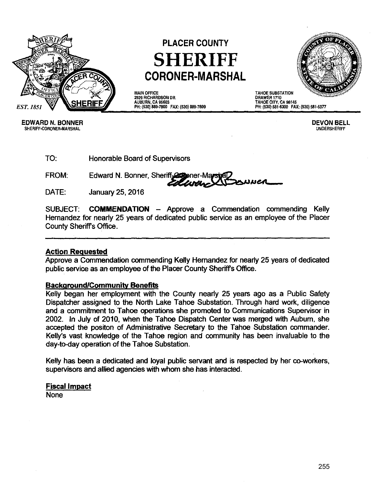

# **PLACER COUNTY SHERIFF CORONER-MARSHAL**

MAIN OFFICE 2929 RICHARDSON DR. AUBURN, CA 95603 PH: (530) 889-7800 FAX: (530) 889-7899



DRAWER 1710 TAHOE CITY, CA 96145 PH: (530) 581-6300 FAX: (530) 581-6377

EDWARD N. BONNER DEVON BELL SHERIFF-CORONER-MARSHAL

TO: Honorable Board of Supervisors

FROM: Edward N. Bonner, Sheriff Commer-Max

DATE: January 25,2016

SUBJECT: **COMMENDATION** - Approve a Commendation commending Kelly Hernandez for nearly 25 years of dedicated public service as an employee of the Placer County Sheriffs Office.

#### **Action Requested**

Approve a Commendation commending Kelly Hernandez for nearly 25 years of dedicated public service as an employee of the Placer County Sheriffs Office.

#### **Background/Communitv Benefits**

Kelly began her employment with the County nearly 25 years ago as a Public Safety Dispatcher assigned to the North Lake Tahoe Substation. Through hard work, diligence and a commitment to Tahoe operations she promoted to Communications Supervisor in 2002. In July of 2010, when the Tahoe Dispatch Center was merged with Auburn, she accepted the positon of Administrative Secretary to the Tahoe Substation commander. Kelly's vast knowledge of the Tahoe region and community has been invaluable to the day-to-day operation of the Tahoe Substation.

Kelly has been a dedicated and loyal public servant and is respected by her co-workers, supervisors and allied agencies with whom she has interacted.

## **Fiscal Impact**

None